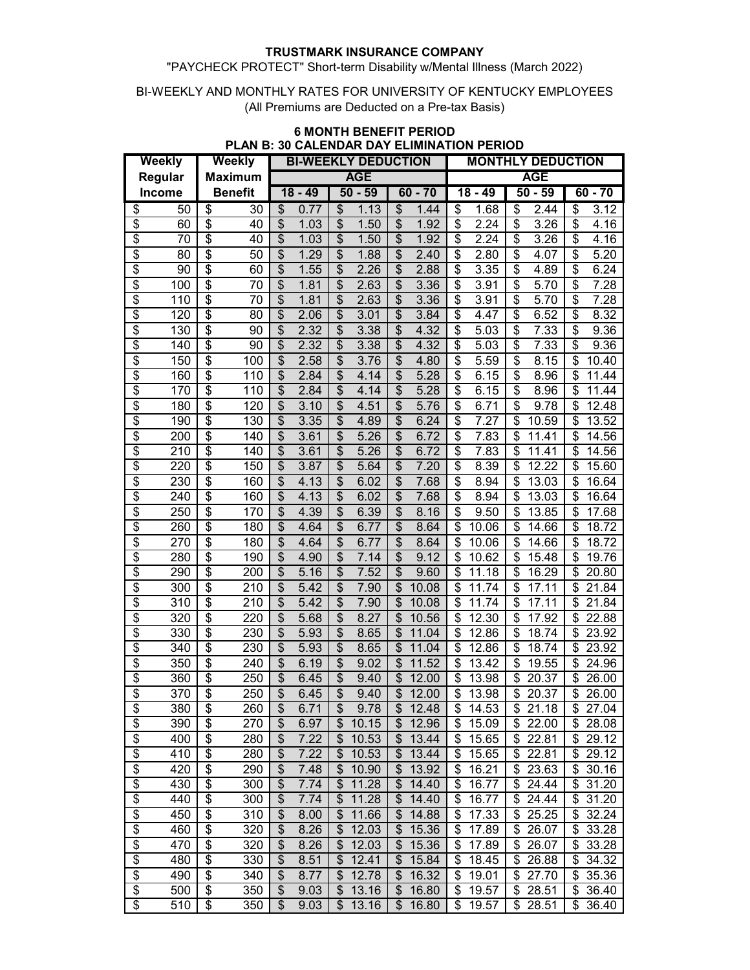#### "PAYCHECK PROTECT" Short-term Disability w/Mental Illness (March 2022)

#### BI-WEEKLY AND MONTHLY RATES FOR UNIVERSITY OF KENTUCKY EMPLOYEES (All Premiums are Deducted on a Pre-tax Basis)

| <b>Weekly</b>            |               | <b>Weekly</b>                        |     | <b>BI-WEEKLY DEDUCTION</b> |      |                          |           |                          | <b>MONTHLY DEDUCTION</b> |                                      |       |    |           |             |
|--------------------------|---------------|--------------------------------------|-----|----------------------------|------|--------------------------|-----------|--------------------------|--------------------------|--------------------------------------|-------|----|-----------|-------------|
| Regular                  |               | <b>Maximum</b>                       |     | <b>AGE</b>                 |      |                          |           | <b>AGE</b>               |                          |                                      |       |    |           |             |
|                          | <b>Income</b> | <b>Benefit</b>                       |     | $18 - 49$                  |      |                          | $50 - 59$ | $60 - 70$                |                          | $18 - 49$                            |       |    | $50 - 59$ | $60 - 70$   |
| \$                       | 50            | \$                                   | 30  | \$                         | 0.77 | \$                       | 1.13      | \$                       | 1.44                     | \$                                   | 1.68  | \$ | 2.44      | \$<br>3.12  |
| \$                       | 60            | \$                                   | 40  | \$                         | 1.03 | \$                       | 1.50      | \$                       | 1.92                     | \$                                   | 2.24  | \$ | 3.26      | \$<br>4.16  |
| $\overline{\$}$          | 70            | \$                                   | 40  | \$                         | 1.03 | \$                       | 1.50      | \$                       | 1.92                     | \$                                   | 2.24  | \$ | 3.26      | \$<br>4.16  |
| \$                       | 80            | \$                                   | 50  | \$                         | 1.29 | \$                       | 1.88      | \$                       | 2.40                     | \$                                   | 2.80  | \$ | 4.07      | \$<br>5.20  |
| $\overline{\$}$          | 90            | $\overline{\$}$                      | 60  | $\overline{\mathcal{S}}$   | 1.55 | $\overline{\mathcal{S}}$ | 2.26      | $\overline{\mathcal{S}}$ | 2.88                     | $\overline{\$}$                      | 3.35  | \$ | 4.89      | \$<br>6.24  |
| $\overline{\$}$          | 100           | $\overline{\$}$                      | 70  | $\overline{\mathcal{S}}$   | 1.81 | $\overline{\mathcal{S}}$ | 2.63      | $\overline{\mathcal{S}}$ | 3.36                     | $\overline{\boldsymbol{\mathsf{S}}}$ | 3.91  | \$ | 5.70      | \$<br>7.28  |
| $\overline{\$}$          | 110           | \$                                   | 70  | $\overline{\mathcal{S}}$   | 1.81 | $\overline{\mathcal{S}}$ | 2.63      | $\overline{\mathcal{S}}$ | 3.36                     | \$                                   | 3.91  | \$ | 5.70      | \$<br>7.28  |
| $\overline{\$}$          | 120           | \$                                   | 80  | $\overline{\mathcal{S}}$   | 2.06 | $\overline{\$}$          | 3.01      | $\overline{\mathcal{S}}$ | 3.84                     | $\overline{\$}$                      | 4.47  | \$ | 6.52      | \$<br>8.32  |
| \$                       | 130           | \$                                   | 90  | $\overline{\mathcal{S}}$   | 2.32 | $\overline{\mathcal{S}}$ | 3.38      | \$                       | 4.32                     | \$                                   | 5.03  | \$ | 7.33      | \$<br>9.36  |
| \$                       | 140           | \$                                   | 90  | \$                         | 2.32 | \$                       | 3.38      | \$                       | 4.32                     | \$                                   | 5.03  | \$ | 7.33      | \$<br>9.36  |
| \$                       | 150           | \$                                   | 100 | \$                         | 2.58 | $\overline{\mathcal{S}}$ | 3.76      | $\overline{\mathcal{S}}$ | 4.80                     | \$                                   | 5.59  | \$ | 8.15      | \$<br>10.40 |
| $\overline{\$}$          | 160           | \$                                   | 110 | \$                         | 2.84 | $\overline{\mathcal{S}}$ | 4.14      | \$                       | 5.28                     | \$                                   | 6.15  | \$ | 8.96      | \$<br>11.44 |
| \$                       | 170           | \$                                   | 110 | $\overline{\mathcal{S}}$   | 2.84 | $\overline{\mathcal{S}}$ | 4.14      | $\overline{\$}$          | 5.28                     | \$                                   | 6.15  | \$ | 8.96      | \$<br>11.44 |
| \$                       | 180           | \$                                   | 120 | $\overline{\mathcal{S}}$   | 3.10 | \$                       | 4.51      | \$                       | 5.76                     | \$                                   | 6.71  | \$ | 9.78      | \$<br>12.48 |
| \$                       | 190           | \$                                   | 130 | \$                         | 3.35 | \$                       | 4.89      | \$                       | 6.24                     | \$                                   | 7.27  | \$ | 10.59     | \$<br>13.52 |
| \$                       | 200           | \$                                   | 140 | \$                         | 3.61 | \$                       | 5.26      | \$                       | 6.72                     | \$                                   | 7.83  | \$ | 11.41     | \$<br>14.56 |
| \$                       | 210           | \$                                   | 140 | \$                         | 3.61 | \$                       | 5.26      | \$                       | 6.72                     | \$                                   | 7.83  | \$ | 11.41     | \$<br>14.56 |
| \$                       | 220           | \$                                   | 150 | \$                         | 3.87 | \$                       | 5.64      | \$                       | 7.20                     | \$                                   | 8.39  | \$ | 12.22     | \$<br>15.60 |
| \$                       | 230           | \$                                   | 160 | \$                         | 4.13 | \$                       | 6.02      | \$                       | 7.68                     | \$                                   | 8.94  | \$ | 13.03     | \$<br>16.64 |
| \$                       | 240           | \$                                   | 160 | \$                         | 4.13 | \$                       | 6.02      | \$                       | 7.68                     | \$                                   | 8.94  | \$ | 13.03     | \$<br>16.64 |
| \$                       | 250           | \$                                   | 170 | \$                         | 4.39 | \$                       | 6.39      | \$                       | 8.16                     | \$                                   | 9.50  | \$ | 13.85     | \$<br>17.68 |
| \$                       | 260           | \$                                   | 180 | \$                         | 4.64 | \$                       | 6.77      | \$                       | 8.64                     | \$                                   | 10.06 | \$ | 14.66     | \$<br>18.72 |
| \$                       | 270           | \$                                   | 180 | \$                         | 4.64 | \$                       | 6.77      | \$                       | 8.64                     | \$                                   | 10.06 | \$ | 14.66     | \$<br>18.72 |
| \$                       | 280           | \$                                   | 190 | \$                         | 4.90 | \$                       | 7.14      | \$                       | 9.12                     | \$                                   | 10.62 | \$ | 15.48     | \$<br>19.76 |
| \$                       | 290           | \$                                   | 200 | \$                         | 5.16 | \$                       | 7.52      | $\overline{\mathcal{S}}$ | 9.60                     | \$                                   | 11.18 | \$ | 16.29     | \$<br>20.80 |
| \$                       | 300           | \$                                   | 210 | \$                         | 5.42 | \$                       | 7.90      | \$                       | 10.08                    | \$                                   | 11.74 | \$ | 17.11     | \$<br>21.84 |
| \$                       | 310           | \$                                   | 210 | \$                         | 5.42 | \$                       | 7.90      | $\overline{\mathcal{S}}$ | 10.08                    | \$                                   | 11.74 | \$ | 17.11     | \$<br>21.84 |
| $\overline{\$}$          | 320           | \$                                   | 220 | $\overline{\mathcal{S}}$   | 5.68 | \$                       | 8.27      | $\overline{\mathcal{S}}$ | 10.56                    | \$                                   | 12.30 | \$ | 17.92     | \$<br>22.88 |
| \$                       | 330           | \$                                   | 230 | \$                         | 5.93 | $\overline{\mathcal{S}}$ | 8.65      | \$                       | 11.04                    | \$                                   | 12.86 | \$ | 18.74     | \$<br>23.92 |
| $\overline{\$}$          | 340           | \$                                   | 230 | $\overline{\$}$            | 5.93 | $\overline{\mathcal{S}}$ | 8.65      | $\overline{\mathcal{S}}$ | 11.04                    | \$                                   | 12.86 | \$ | 18.74     | \$<br>23.92 |
| $\overline{\$}$          | 350           | $\overline{\boldsymbol{\mathsf{S}}}$ | 240 | \$                         | 6.19 | \$                       | 9.02      | \$                       | 11.52                    | \$                                   | 13.42 | \$ | 19.55     | \$<br>24.96 |
| $\overline{\$}$          | 360           | \$                                   | 250 | $\overline{\mathcal{S}}$   | 6.45 | $\overline{\$}$          | 9.40      | \$                       | 12.00                    | \$                                   | 13.98 | \$ | 20.37     | \$<br>26.00 |
| $\overline{\$}$          | 370           | $\overline{\mathbb{S}}$              | 250 | $\overline{\mathcal{S}}$   | 6.45 | $\overline{\$}$          | 9.40      | \$                       | 12.00                    | \$                                   | 13.98 | \$ | 20.37     | \$<br>26.00 |
| \$                       | 380           | \$                                   | 260 | \$                         | 6.71 | \$                       | 9.78      | \$                       | 12.48                    | \$                                   | 14.53 | \$ | 21.18     | \$<br>27.04 |
| \$                       | 390           | \$                                   | 270 | \$                         | 6.97 | \$                       | 10.15     | \$                       | 12.96                    | \$                                   | 15.09 | \$ | 22.00     | \$<br>28.08 |
| \$                       | 400           | \$                                   | 280 | \$                         | 7.22 | \$                       | 10.53     | \$                       | 13.44                    | \$                                   | 15.65 | \$ | 22.81     | \$<br>29.12 |
| $\overline{\$}$          | 410           | \$                                   | 280 | \$                         | 7.22 | \$                       | 10.53     | \$                       | 13.44                    | \$                                   | 15.65 | \$ | 22.81     | \$<br>29.12 |
| $\overline{\mathcal{S}}$ | 420           | \$                                   | 290 | \$                         | 7.48 | \$                       | 10.90     | \$                       | 13.92                    | \$                                   | 16.21 | \$ | 23.63     | \$<br>30.16 |
| $\overline{\$}$          | 430           | \$                                   | 300 | \$                         | 7.74 | \$                       | 11.28     | \$                       | 14.40                    | \$                                   | 16.77 | \$ | 24.44     | \$<br>31.20 |
| $\overline{\mathcal{E}}$ | 440           | \$                                   | 300 | \$                         | 7.74 | \$                       | 11.28     | \$                       | 14.40                    | \$                                   | 16.77 | \$ | 24.44     | \$<br>31.20 |
| $\overline{\mathcal{S}}$ | 450           | \$                                   | 310 | \$                         | 8.00 | \$                       | 11.66     | \$                       | 14.88                    | \$                                   | 17.33 | \$ | 25.25     | \$<br>32.24 |
| $\overline{\mathcal{E}}$ | 460           | \$                                   | 320 | \$                         | 8.26 | \$                       | 12.03     | \$                       | 15.36                    | \$                                   | 17.89 | \$ | 26.07     | \$<br>33.28 |
| $\overline{\mathcal{S}}$ | 470           | \$                                   | 320 | \$                         | 8.26 | \$                       | 12.03     | \$                       | 15.36                    | \$                                   | 17.89 | \$ | 26.07     | \$<br>33.28 |
| $\overline{\mathcal{E}}$ | 480           | \$                                   | 330 | \$                         | 8.51 | \$                       | 12.41     | \$                       | 15.84                    | \$                                   | 18.45 |    | \$26.88   | \$<br>34.32 |
| $\overline{\$}$          | 490           | \$                                   | 340 | \$                         | 8.77 | \$                       | 12.78     | \$                       | 16.32                    | \$                                   | 19.01 | \$ | 27.70     | \$<br>35.36 |
| \$                       | 500           | \$                                   | 350 | \$                         | 9.03 | \$                       | 13.16     | \$                       | 16.80                    | \$                                   | 19.57 |    | \$28.51   | \$<br>36.40 |
| $\overline{\$}$          | 510           | \$                                   | 350 | \$                         | 9.03 | \$                       | 13.16     | \$                       | 16.80                    | \$                                   | 19.57 |    | \$28.51   | \$<br>36.40 |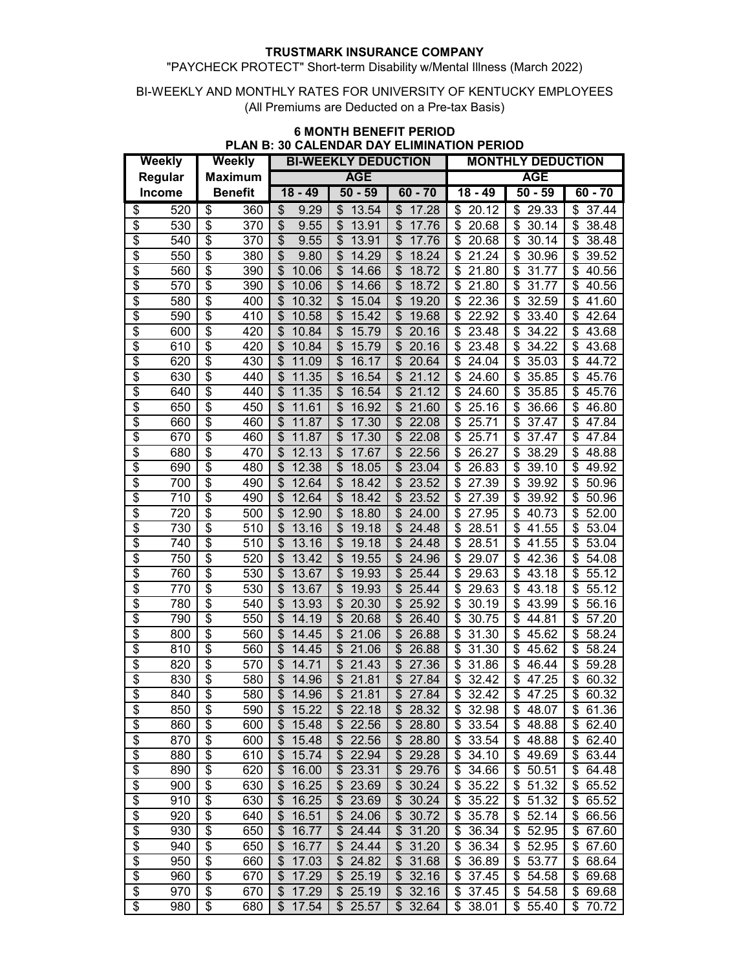## "PAYCHECK PROTECT" Short-term Disability w/Mental Illness (March 2022)

#### BI-WEEKLY AND MONTHLY RATES FOR UNIVERSITY OF KENTUCKY EMPLOYEES (All Premiums are Deducted on a Pre-tax Basis)

| Weekly                   |               | <b>Weekly</b>                        |                |                                    | <b>BI-WEEKLY DEDUCTION</b>         |                                    | <b>MONTHLY DEDUCTION</b>          |                                   |                          |  |
|--------------------------|---------------|--------------------------------------|----------------|------------------------------------|------------------------------------|------------------------------------|-----------------------------------|-----------------------------------|--------------------------|--|
| Regular                  |               | <b>Maximum</b>                       |                | <b>AGE</b>                         |                                    |                                    | <b>AGE</b>                        |                                   |                          |  |
|                          | <b>Income</b> |                                      | <b>Benefit</b> | $18 - 49$                          | $50 - 59$                          | $60 - 70$                          | $18 - 49$                         | $50 - 59$                         | $60 - 70$                |  |
| \$                       | 520           | \$                                   | 360            | 9.29<br>\$                         | 13.54<br>S                         | \$<br>17.28                        | \$<br>20.12                       | 29.33<br>\$                       | \$<br>37.44              |  |
| $\overline{\$}$          | 530           | \$                                   | 370            | \$<br>9.55                         | $\boldsymbol{\mathsf{S}}$<br>13.91 | \$<br>17.76                        | \$<br>20.68                       | \$<br>30.14                       | \$<br>38.48              |  |
| \$                       | 540           | \$                                   | 370            | \$<br>9.55                         | \$<br>13.91                        | \$<br>17.76                        | \$<br>20.68                       | \$<br>30.14                       | \$<br>38.48              |  |
| \$                       | 550           | \$                                   | 380            | \$<br>9.80                         | $\boldsymbol{\mathsf{S}}$<br>14.29 | \$<br>18.24                        | \$<br>21.24                       | \$<br>30.96                       | 39.52<br>\$              |  |
| \$                       | 560           | \$                                   | 390            | \$<br>10.06                        | $\boldsymbol{\mathsf{S}}$<br>14.66 | \$<br>18.72                        | \$<br>21.80                       | \$<br>31.77                       | \$<br>40.56              |  |
| \$                       | 570           | \$                                   | 390            | \$<br>10.06                        | \$<br>14.66                        | \$<br>18.72                        | \$<br>21.80                       | \$<br>31.77                       | \$<br>40.56              |  |
| \$                       | 580           | \$                                   | 400            | \$<br>10.32                        | \$<br>15.04                        | \$<br>19.20                        | \$<br>22.36                       | \$<br>32.59                       | \$<br>41.60              |  |
| \$                       | 590           | \$                                   | 410            | \$<br>10.58                        | \$<br>15.42                        | \$<br>19.68                        | \$<br>22.92                       | \$<br>33.40                       | \$<br>42.64              |  |
| \$                       | 600           | \$                                   | 420            | \$<br>10.84                        | \$<br>15.79                        | $\boldsymbol{\mathsf{S}}$<br>20.16 | \$<br>23.48                       | \$<br>34.22                       | \$<br>43.68              |  |
| $\overline{\$}$          | 610           | \$                                   | 420            | \$<br>10.84                        | \$<br>15.79                        | \$<br>20.16                        | \$<br>23.48                       | \$<br>34.22                       | \$<br>43.68              |  |
| \$                       | 620           | \$                                   | 430            | \$<br>11.09                        | \$<br>16.17                        | \$<br>20.64                        | \$<br>24.04                       | \$<br>35.03                       | \$<br>44.72              |  |
| $\overline{\$}$          | 630           | $\overline{\boldsymbol{\mathsf{S}}}$ | 440            | \$<br>11.35                        | \$<br>16.54                        | \$<br>21.12                        | \$<br>24.60                       | \$<br>35.85                       | \$<br>45.76              |  |
| \$                       | 640           | \$                                   | 440            | \$<br>11.35                        | \$<br>16.54                        | \$<br>21.12                        | \$<br>24.60                       | \$<br>35.85                       | \$<br>45.76              |  |
| \$                       | 650           | \$                                   | 450            | \$<br>11.61                        | \$<br>16.92                        | \$<br>21.60                        | \$<br>25.16                       | \$<br>36.66                       | S<br>46.80               |  |
| \$                       | 660           | \$                                   | 460            | \$<br>11.87                        | \$<br>17.30                        | \$<br>22.08                        | \$<br>25.71                       | \$<br>37.47                       | \$<br>47.84              |  |
| \$                       | 670           | \$                                   | 460            | \$<br>11.87                        | \$<br>17.30                        | \$<br>22.08                        | \$<br>25.71                       | \$<br>37.47                       | 47.84<br>\$              |  |
| \$                       | 680           | \$                                   | 470            | \$<br>12.13                        | \$<br>17.67                        | \$<br>22.56                        | \$<br>26.27                       | \$<br>38.29                       | \$<br>48.88              |  |
| \$                       | 690           | \$                                   | 480            | \$<br>12.38                        | \$<br>18.05                        | \$<br>23.04                        | \$<br>26.83                       | 39.10<br>\$                       | \$<br>49.92              |  |
| \$                       | 700           | \$                                   | 490            | 12.64<br>\$                        | $\mathfrak{S}$<br>18.42            | \$<br>23.52                        | \$<br>27.39                       | \$<br>39.92                       | \$<br>50.96              |  |
| \$                       | 710           | $\overline{\$}$                      | 490            | \$<br>12.64                        | $\mathfrak{S}$<br>18.42            | \$<br>23.52                        | \$<br>27.39                       | \$<br>39.92                       | \$<br>50.96              |  |
| $\overline{\$}$          | 720           | $\overline{\$}$                      | 500            | $\boldsymbol{\mathsf{S}}$<br>12.90 | \$<br>18.80                        | $\overline{\mathcal{S}}$<br>24.00  | $\overline{\mathcal{S}}$<br>27.95 | $\overline{\mathcal{S}}$<br>40.73 | \$<br>$\overline{5}2.00$ |  |
| \$                       | 730           | $\overline{\boldsymbol{\mathsf{S}}}$ | 510            | \$<br>13.16                        | \$<br>19.18                        | \$<br>24.48                        | \$<br>28.51                       | \$<br>41.55                       | \$<br>53.04              |  |
| \$                       | 740           | \$                                   | 510            | \$<br>13.16                        | $\overline{\theta}$<br>19.18       | $\overline{\mathcal{S}}$<br>24.48  | \$<br>28.51                       | \$<br>41.55                       | \$<br>53.04              |  |
| \$                       | 750           | \$                                   | 520            | \$<br>13.42                        | \$<br>19.55                        | $\overline{\mathcal{S}}$<br>24.96  | \$<br>29.07                       | \$<br>42.36                       | \$<br>54.08              |  |
| \$                       | 760           | \$                                   | 530            | \$<br>13.67                        | \$<br>19.93                        | \$<br>25.44                        | \$<br>29.63                       | \$<br>43.18                       | \$<br>55.12              |  |
| \$                       | 770           | \$                                   | 530            | \$<br>13.67                        | \$<br>19.93                        | $\boldsymbol{\mathsf{S}}$<br>25.44 | \$<br>29.63                       | \$<br>43.18                       | \$<br>55.12              |  |
| $\overline{\$}$          | 780           | \$                                   | 540            | \$<br>13.93                        | \$<br>20.30                        | \$<br>25.92                        | \$<br>30.19                       | \$<br>43.99                       | \$<br>56.16              |  |
| \$                       | 790           | $\overline{\mathcal{S}}$             | 550            | \$<br>14.19                        | \$<br>20.68                        | \$<br>26.40                        | \$<br>30.75                       | \$<br>44.81                       | \$<br>57.20              |  |
| \$                       | 800           | \$                                   | 560            | \$<br>14.45                        | \$<br>21.06                        | \$<br>26.88                        | \$<br>31.30                       | \$<br>45.62                       | 58.24<br>\$              |  |
| $\overline{\mathcal{S}}$ | 810           | \$                                   | 560            | \$<br>14.45                        | \$<br>21.06                        | \$<br>26.88                        | \$<br>31.30                       | \$<br>45.62                       | \$<br>58.24              |  |
| \$                       | 820           | \$                                   | 570            | \$<br>14.71                        | \$<br>21.43                        | \$<br>27.36                        | \$<br>31.86                       | \$<br>46.44                       | \$<br>59.28              |  |
| \$                       | 830           | \$                                   | 580            | \$<br>14.96                        | \$<br>21.81                        | \$<br>27.84                        | \$<br>32.42                       | \$<br>47.25                       | \$<br>60.32              |  |
| \$                       | 840           | \$                                   | 580            | \$<br>14.96                        | $\boldsymbol{\mathsf{S}}$<br>21.81 | \$<br>27.84                        | \$<br>32.42                       | \$<br>47.25                       | \$<br>60.32              |  |
| \$                       | 850           | \$                                   | 590            | \$15.22                            | \$22.18                            | \$28.32                            | \$32.98                           | \$48.07                           | \$61.36                  |  |
| $\overline{\$}$          | 860           | \$                                   | 600            | 15.48<br>\$                        | \$<br>22.56                        | \$28.80                            | 33.54<br>\$                       | \$48.88                           | 62.40<br>\$              |  |
| $\overline{\mathcal{E}}$ | 870           | \$                                   | 600            | 15.48<br>\$                        | 22.56<br>\$                        | \$28.80                            | 33.54<br>\$                       | \$48.88                           | 62.40<br>\$              |  |
| $\overline{\$}$          | 880           | \$                                   | 610            | 15.74<br>\$                        | 22.94<br>\$                        | \$29.28                            | 34.10<br>\$                       | 49.69<br>\$                       | 63.44<br>\$              |  |
| $\overline{\mathcal{E}}$ | 890           | \$                                   | 620            | 16.00<br>\$                        | \$<br>23.31                        | \$29.76                            | 34.66<br>\$                       | 50.51<br>\$                       | \$<br>64.48              |  |
| $\overline{\mathcal{S}}$ | 900           | \$                                   | 630            | 16.25<br>\$                        | \$<br>23.69                        | $\frac{1}{2}$<br>30.24             | 35.22<br>\$                       | 51.32<br>\$                       | 65.52<br>\$              |  |
| $\overline{\mathcal{E}}$ | 910           | \$                                   | 630            | \$<br>16.25                        | \$<br>23.69                        | \$30.24                            | 35.22<br>\$                       | \$51.32                           | \$<br>65.52              |  |
| $\overline{\mathcal{S}}$ | 920           | \$                                   | 640            | 16.51<br>\$                        | \$<br>24.06                        | \$30.72                            | 35.78<br>\$                       | 52.14<br>\$                       | 66.56<br>\$              |  |
| $\overline{\mathcal{E}}$ | 930           | \$                                   | 650            | 16.77<br>\$                        | \$24.44                            | $\overline{\$}$ 31.20              | \$<br>36.34                       | \$52.95                           | \$<br>67.60              |  |
| $\overline{\$}$          | 940           | \$                                   | 650            | \$<br>16.77                        | 24.44<br>\$                        | $\overline{\$}$ 31.20              | 36.34<br>\$                       | \$52.95                           | \$<br>67.60              |  |
| \$                       | 950           | $\overline{\mathcal{G}}$             | 660            | 17.03<br>\$                        | \$<br>24.82                        | $\overline{\$}$ 31.68              | \$<br>36.89                       | \$53.77                           | \$<br>68.64              |  |
| \$                       | 960           | $\overline{\mathcal{E}}$             | 670            | 17.29<br>\$                        | 25.19<br>\$                        | \$32.16                            | 37.45<br>S                        | \$54.58                           | 69.68<br>\$              |  |
| $\overline{\$}$          | 970           | $\overline{\mathcal{E}}$             | 670            | 17.29<br>\$                        | \$<br>25.19                        | \$32.16                            | \$37.45                           | \$54.58                           | \$<br>69.68              |  |
| $\overline{\$}$          | 980           | \$                                   | 680            | \$17.54                            | \$25.57                            | \$32.64                            | \$38.01                           | \$55.40                           | \$70.72                  |  |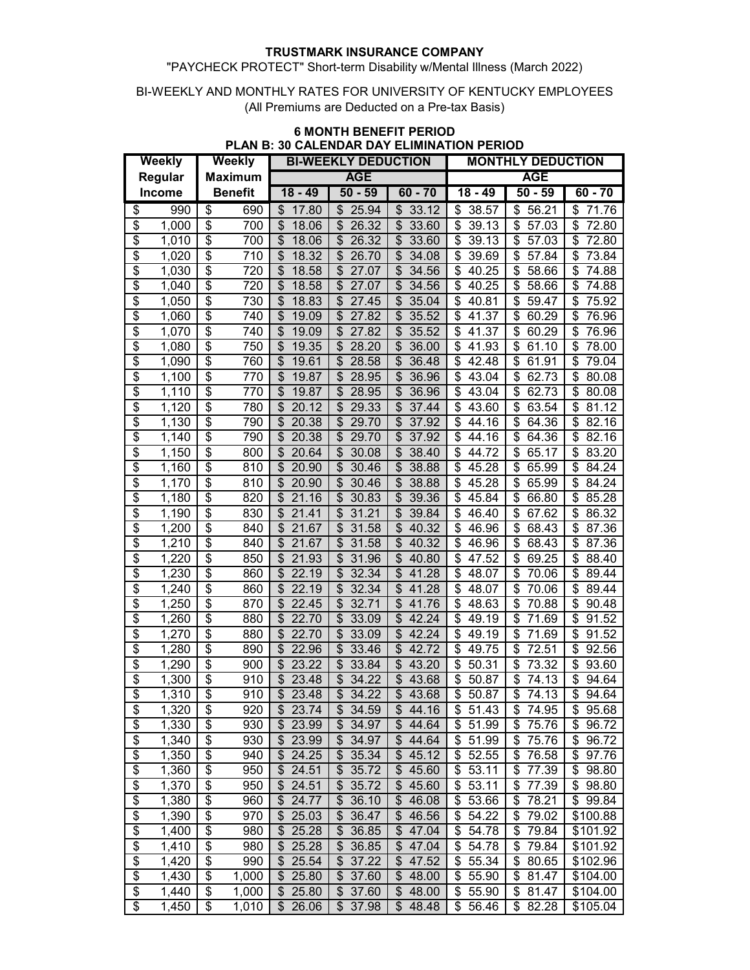#### "PAYCHECK PROTECT" Short-term Disability w/Mental Illness (March 2022)

#### BI-WEEKLY AND MONTHLY RATES FOR UNIVERSITY OF KENTUCKY EMPLOYEES (All Premiums are Deducted on a Pre-tax Basis)

| Weekly                   |                             | Weekly                               |                |                            | <b>BI-WEEKLY DEDUCTION</b>              |                                             | <b>MONTHLY DEDUCTION</b>          |                                           |                      |  |
|--------------------------|-----------------------------|--------------------------------------|----------------|----------------------------|-----------------------------------------|---------------------------------------------|-----------------------------------|-------------------------------------------|----------------------|--|
|                          | Regular                     | <b>Maximum</b>                       |                | <b>AGE</b>                 |                                         |                                             | <b>AGE</b>                        |                                           |                      |  |
|                          | <b>Income</b>               |                                      | <b>Benefit</b> | $18 - 49$                  | $50 - 59$                               | $60 - 70$                                   | $18 - 49$                         | $50 - 59$                                 | $60 - 70$            |  |
| \$                       | 990                         | \$                                   | 690            | 17.80<br>\$                | 25.94<br>\$                             | 33.12<br>\$                                 | 38.57<br>\$                       | 56.21<br>\$                               | \$<br>71.76          |  |
| \$                       | 1,000                       | \$                                   | 700            | \$<br>18.06                | \$<br>26.32                             | \$<br>33.60                                 | \$<br>39.13                       | \$<br>57.03                               | \$<br>72.80          |  |
| \$                       | 1,010                       | \$                                   | 700            | \$<br>18.06                | $\mathfrak{S}$<br>26.32                 | \$<br>33.60                                 | \$<br>39.13                       | \$<br>57.03                               | 72.80<br>\$          |  |
| \$                       | 1,020                       | $\overline{\boldsymbol{\mathsf{s}}}$ | 710            | \$<br>18.32                | $\frac{1}{2}$<br>26.70                  | \$<br>34.08                                 | \$<br>39.69                       | \$<br>57.84                               | \$<br>73.84          |  |
| \$                       | 1,030                       | $\overline{\boldsymbol{\mathsf{s}}}$ | 720            | \$<br>18.58                | \$<br>27.07                             | \$<br>34.56                                 | \$<br>40.25                       | \$<br>58.66                               | \$<br>74.88          |  |
| \$                       | 1,040                       | \$                                   | 720            | \$<br>18.58                | \$<br>27.07                             | $\overline{\mathcal{E}}$<br>34.56           | \$<br>40.25                       | \$<br>58.66                               | \$<br>74.88          |  |
| \$                       | 1,050                       | \$                                   | 730            | \$<br>18.83                | \$<br>27.45                             | \$<br>35.04                                 | \$<br>40.81                       | \$<br>59.47                               | \$<br>75.92          |  |
| \$                       | 1,060                       | \$                                   | 740            | \$<br>19.09                | \$<br>27.82                             | $\boldsymbol{\mathsf{S}}$<br>35.52          | \$<br>41.37                       | \$<br>60.29                               | \$<br>76.96          |  |
| $\overline{\$}$          | 1,070                       | \$                                   | 740            | \$<br>19.09                | \$<br>27.82                             | \$<br>35.52                                 | \$<br>41.37                       | \$<br>60.29                               | \$<br>76.96          |  |
| \$                       | 1,080                       | $\overline{\mathcal{S}}$             | 750            | \$<br>19.35                | \$<br>28.20                             | \$<br>36.00                                 | \$<br>41.93                       | \$<br>61.10                               | \$<br>78.00          |  |
| \$                       | 1,090                       | \$                                   | 760            | \$<br>19.61                | 28.58<br>\$                             | \$<br>36.48                                 | \$<br>42.48                       | \$<br>61.91                               | \$<br>79.04          |  |
| \$                       | 1,100                       | \$                                   | 770            | \$<br>19.87                | \$<br>28.95                             | \$<br>36.96                                 | \$<br>43.04                       | \$<br>62.73                               | \$<br>80.08          |  |
| \$                       | 1,110                       | \$                                   | 770            | \$<br>19.87                | \$<br>28.95                             | \$<br>36.96                                 | \$<br>43.04                       | \$<br>62.73                               | \$<br>80.08          |  |
| \$                       | 1,120                       | \$                                   | 780            | \$<br>20.12                | \$<br>29.33                             | \$<br>37.44                                 | \$<br>43.60                       | \$<br>63.54                               | \$<br>81.12          |  |
| \$                       | 1,130                       | \$                                   | 790            | \$<br>20.38                | \$<br>29.70                             | \$<br>37.92                                 | \$<br>44.16                       | \$<br>64.36                               | \$<br>82.16          |  |
| \$                       |                             | \$                                   | 790            | \$<br>20.38                | \$<br>29.70                             | \$<br>37.92                                 | \$<br>44.16                       | \$<br>64.36                               | \$<br>82.16          |  |
| $\overline{\$}$          | 1,140<br>1,150              | $\overline{\mathcal{S}}$             | 800            | \$<br>20.64                | $\boldsymbol{\mathsf{S}}$<br>30.08      | \$<br>38.40                                 | \$<br>44.72                       | \$<br>65.17                               | \$<br>83.20          |  |
| \$                       |                             | \$                                   | 810            | \$                         | $\frac{1}{2}$                           | \$                                          | \$<br>45.28                       | \$<br>65.99                               | \$<br>84.24          |  |
| \$                       | 1,160<br>1,170              | $\overline{\$}$                      | 810            | 20.90<br>\$<br>20.90       | 30.46<br>$\frac{1}{2}$<br>30.46         | 38.88<br>\$<br>38.88                        | \$<br>45.28                       | \$<br>65.99                               | 84.24<br>\$          |  |
| $\overline{\$}$          | 1,180                       | $\overline{\$}$                      | 820            | \$<br>21.16                | $\overline{\mathcal{S}}$<br>30.83       | $\overline{\mathcal{E}}$<br>39.36           | $\overline{\mathcal{S}}$<br>45.84 | $\overline{\boldsymbol{\theta}}$<br>66.80 | \$<br>85.28          |  |
| \$                       |                             | $\overline{\$}$                      | 830            | \$<br>21.41                | \$<br>31.21                             | $\overline{\mathcal{S}}$<br>39.84           | \$<br>46.40                       | \$<br>67.62                               | \$                   |  |
| $\overline{\$}$          | 1,190                       | $\overline{\boldsymbol{\theta}}$     | 840            | \$<br>21.67                | $\overline{\mathcal{E}}$<br>31.58       | $\overline{\mathcal{S}}$<br>40.32           | \$<br>46.96                       |                                           | 86.32<br>\$          |  |
| \$                       | 1,200                       | \$                                   |                | \$                         |                                         | $\overline{\mathcal{S}}$<br>40.32           |                                   | \$<br>68.43                               | 87.36<br>\$          |  |
| \$                       | 1,210                       | \$                                   | 840            | 21.67<br>\$                | \$<br>31.58<br>$\overline{\mathcal{E}}$ | $\overline{\mathcal{S}}$                    | \$<br>46.96<br>\$                 | \$<br>68.43<br>\$                         | 87.36<br>\$          |  |
| \$                       | 1,220                       | \$                                   | 850            | 21.93                      | 31.96                                   | 40.80<br>$\overline{\mathcal{S}}$           | 47.52<br>\$                       | 69.25                                     | 88.40<br>\$          |  |
| $\overline{\$}$          | 1,230<br>$\overline{1,240}$ | $\overline{\mathcal{S}}$             | 860            | \$<br>22.19<br>\$<br>22.19 | \$<br>32.34<br>\$<br>32.34              | 41.28<br>$\boldsymbol{\mathsf{S}}$<br>41.28 | 48.07<br>\$                       | \$<br>70.06<br>\$                         | 89.44<br>\$<br>89.44 |  |
| \$                       |                             | \$                                   | 860            | \$                         | \$                                      | \$                                          | 48.07<br>\$                       | 70.06                                     |                      |  |
| \$                       | 1,250                       | $\overline{\boldsymbol{\mathsf{s}}}$ | 870            | 22.45<br>\$                | 32.71                                   | 41.76<br>\$                                 | 48.63<br>\$                       | \$<br>70.88                               | \$<br>90.48          |  |
|                          | 1,260                       |                                      | 880            | 22.70                      | \$<br>33.09                             | 42.24                                       | 49.19                             | \$<br>71.69                               | 91.52<br>\$          |  |
| $\overline{\mathcal{S}}$ | 1,270                       | \$                                   | 880            | \$<br>22.70                | \$<br>33.09                             | \$<br>42.24                                 | \$<br>49.19                       | \$<br>71.69                               | \$<br>91.52          |  |
| \$                       | 1,280                       | \$                                   | 890            | \$<br>22.96                | \$<br>33.46                             | \$<br>42.72                                 | \$<br>49.75                       | \$<br>72.51                               | \$<br>92.56          |  |
| \$                       | 1,290                       | \$                                   | 900            | \$<br>23.22                | \$<br>33.84                             | \$<br>43.20                                 | \$<br>50.31                       | \$<br>73.32                               | \$<br>93.60          |  |
| \$<br>$\overline{\$}$    | 1,300                       | \$<br>$\overline{\mathbf{s}}$        | 910            | \$<br>23.48                | \$<br>34.22                             | \$<br>43.68                                 | \$<br>50.87                       | \$<br>74.13                               | \$<br>94.64          |  |
|                          | 1,310                       |                                      | 910            | \$<br>23.48                | \$34.22                                 | $\mathfrak{S}$<br>43.68                     | \$<br>50.87                       | \$<br>74.13                               | \$<br>94.64          |  |
| \$                       | 1,320                       | \$                                   | 920            | \$23.74                    | 34.59<br>\$                             | \$44.16                                     | 51.43<br>\$                       | \$74.95                                   | \$<br>95.68          |  |
| \$                       | 1,330                       | \$                                   | 930            | 23.99<br>\$                | \$<br>34.97                             | \$44.64                                     | \$<br>51.99                       | \$<br>75.76                               | \$<br>96.72          |  |
| $\overline{\$}$          | 1,340                       | \$                                   | 930            | 23.99<br>\$                | 34.97<br>\$                             | \$44.64                                     | \$<br>51.99                       | 75.76<br>\$                               | 96.72<br>\$          |  |
| $\overline{\mathcal{E}}$ | 1,350                       | \$                                   | 940            | 24.25<br>\$                | \$<br>35.34                             | \$45.12                                     | \$<br>52.55                       | 76.58<br>\$                               | 97.76<br>\$          |  |
| $\overline{\mathcal{S}}$ | 1,360                       | \$                                   | 950            | 24.51<br>\$                | \$<br>35.72                             | \$45.60                                     | 53.11<br>\$                       | 77.39<br>\$                               | \$<br>98.80          |  |
| $\overline{\mathcal{E}}$ | 1,370                       | \$                                   | 950            | 24.51<br>\$                | \$<br>35.72                             | \$45.60                                     | 53.11<br>\$                       | 77.39<br>\$                               | \$<br>98.80          |  |
| $\overline{\mathcal{E}}$ | 1,380                       | \$                                   | 960            | 24.77<br>\$                | 36.10<br>\$                             | \$46.08                                     | 53.66<br>\$                       | \$<br>78.21                               | \$<br>99.84          |  |
| $\overline{\mathcal{E}}$ | 1,390                       | \$                                   | 970            | \$25.03                    | \$<br>36.47                             | \$46.56                                     | 54.22<br>\$                       | \$<br>79.02                               | \$100.88             |  |
| $\overline{\$}$          | 1,400                       | \$                                   | 980            | 25.28<br>\$                | \$<br>36.85                             | \$47.04                                     | 54.78<br>\$                       | 79.84<br>\$                               | \$101.92             |  |
| $\overline{\$}$          | 1,410                       | \$                                   | 980            | 25.28<br>\$                | \$<br>36.85                             | \$47.04                                     | 54.78<br>\$                       | \$79.84                                   | \$101.92             |  |
| \$                       | 1,420                       | $\overline{\mathcal{E}}$             | 990            | 25.54<br>\$                | 37.22<br>\$                             | \$47.52                                     | 55.34<br>\$                       | \$80.65                                   | \$102.96             |  |
| \$                       | 1,430                       | $\overline{\mathcal{G}}$             | 1,000          | 25.80<br>\$                | 37.60<br>\$                             | \$48.00                                     | 55.90<br>\$                       | 81.47<br>\$                               | \$104.00             |  |
| \$                       | 1,440                       | \$                                   | 1,000          | 25.80<br>\$                | 37.60<br>\$                             | \$48.00                                     | 55.90<br>\$                       | \$81.47                                   | \$104.00             |  |
| $\overline{\$}$          | 1,450                       | \$                                   | 1,010          | \$26.06                    | \$37.98                                 | \$48.48                                     | \$56.46                           | \$82.28                                   | \$105.04             |  |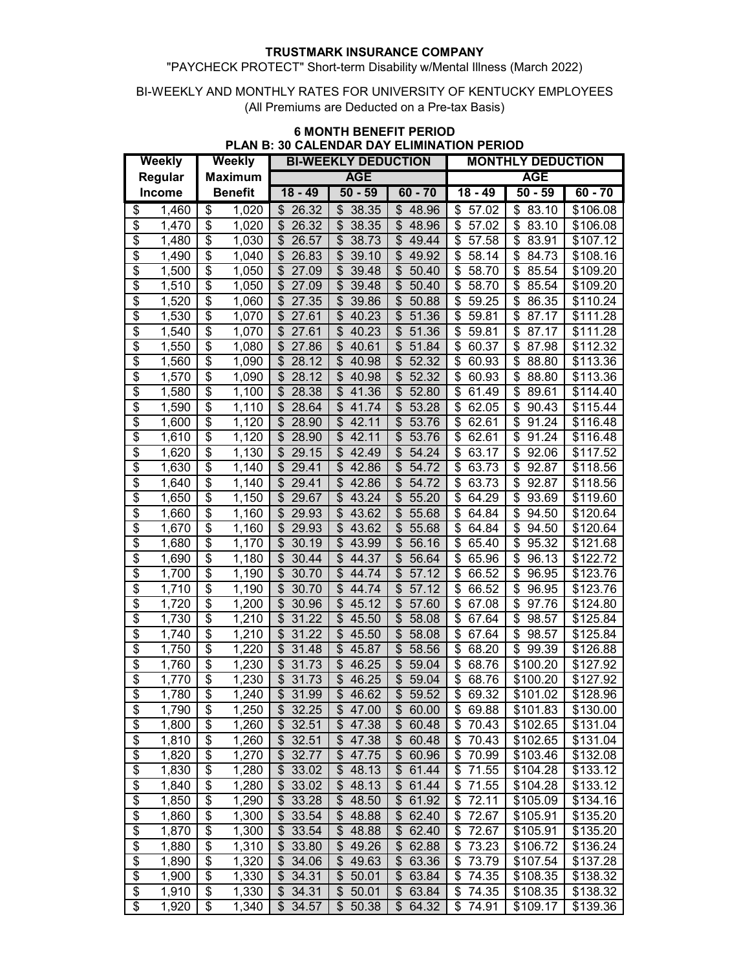## "PAYCHECK PROTECT" Short-term Disability w/Mental Illness (March 2022)

#### BI-WEEKLY AND MONTHLY RATES FOR UNIVERSITY OF KENTUCKY EMPLOYEES (All Premiums are Deducted on a Pre-tax Basis)

| Weekly                   |               | Weekly                               |                    |             | <b>BI-WEEKLY DEDUCTION</b>         |                                    | VALLIVAI\ PAT LLIVIIIATIN<br><b>MONTHLY DEDUCTION</b> |                         |           |  |
|--------------------------|---------------|--------------------------------------|--------------------|-------------|------------------------------------|------------------------------------|-------------------------------------------------------|-------------------------|-----------|--|
| Regular                  |               | <b>Maximum</b>                       |                    |             | <b>AGE</b>                         |                                    |                                                       |                         |           |  |
|                          | <b>Income</b> |                                      | <b>Benefit</b>     | $18 - 49$   | $50 - 59$                          | $60 - 70$                          | $18 - 49$                                             | <b>AGE</b><br>$50 - 59$ | $60 - 70$ |  |
|                          |               |                                      |                    |             |                                    |                                    |                                                       |                         |           |  |
| \$<br>\$                 | 1,460         | \$                                   | 1,020              | 26.32<br>\$ | 38.35<br>\$                        | 48.96<br>\$<br>\$                  | 57.02<br>\$                                           | 83.10<br>\$             | \$106.08  |  |
|                          | 1,470         | \$                                   | 1,020              | 26.32<br>\$ | \$<br>38.35                        | 48.96                              | \$<br>57.02<br>\$                                     | \$<br>83.10             | \$106.08  |  |
| \$                       | 1,480         | \$                                   | 1,030              | \$<br>26.57 | \$<br>38.73                        | \$<br>49.44                        | 57.58                                                 | \$<br>83.91             | \$107.12  |  |
| \$                       | 1,490         | \$                                   | 1,040              | \$<br>26.83 | $\frac{1}{2}$<br>39.10             | \$<br>49.92                        | \$<br>58.14                                           | \$<br>84.73             | \$108.16  |  |
| \$                       | 1,500         | \$                                   | 1,050              | \$<br>27.09 | $\boldsymbol{\mathsf{S}}$<br>39.48 | \$<br>50.40                        | \$<br>58.70                                           | \$<br>85.54             | \$109.20  |  |
| \$                       | 1,510         | \$                                   | 1,050              | \$<br>27.09 | $\frac{1}{2}$<br>39.48             | $\overline{\mathcal{S}}$<br>50.40  | \$<br>58.70                                           | \$<br>85.54             | \$109.20  |  |
| \$                       | 1,520         | \$                                   | 1,060              | 27.35<br>\$ | \$<br>39.86                        | \$<br>50.88                        | \$<br>59.25                                           | \$<br>86.35             | \$110.24  |  |
| \$                       | 1,530         | \$                                   | 1,070              | \$<br>27.61 | $\frac{1}{2}$<br>40.23             | $\overline{\mathcal{S}}$<br>51.36  | \$<br>59.81                                           | \$<br>87.17             | \$111.28  |  |
| $\overline{\$}$          | 1,540         | \$                                   | 1,070              | \$<br>27.61 | \$<br>40.23                        | \$<br>51.36                        | \$<br>59.81                                           | \$<br>87.17             | \$111.28  |  |
| \$                       | 1,550         | \$                                   | 1,080              | \$<br>27.86 | \$<br>40.61                        | \$<br>51.84                        | \$<br>60.37                                           | \$<br>87.98             | \$112.32  |  |
| \$                       | 1,560         | \$                                   | 1,090              | 28.12<br>\$ | \$<br>40.98                        | \$<br>52.32                        | \$<br>60.93                                           | \$<br>88.80             | \$113.36  |  |
| \$                       | 1,570         | \$                                   | 1,090              | \$<br>28.12 | \$<br>40.98                        | \$<br>52.32                        | \$<br>60.93                                           | \$<br>88.80             | \$113.36  |  |
| \$                       | 1,580         | \$                                   | 1,100              | 28.38<br>\$ | \$<br>41.36                        | \$<br>52.80                        | \$<br>61.49                                           | \$<br>89.61             | \$114.40  |  |
| \$                       | 1,590         | \$                                   | 1,110              | \$<br>28.64 | \$<br>41.74                        | \$<br>53.28                        | \$<br>62.05                                           | \$<br>90.43             | \$115.44  |  |
| \$                       | 1,600         | \$                                   | 1,120              | \$<br>28.90 | \$<br>42.11                        | \$<br>53.76                        | \$<br>62.61                                           | \$<br>91.24             | \$116.48  |  |
| \$                       | 1,610         | \$                                   | 1,120              | \$<br>28.90 | \$<br>42.11                        | \$<br>53.76                        | \$<br>62.61                                           | \$<br>91.24             | \$116.48  |  |
| \$                       | 1,620         | $\overline{\boldsymbol{\mathsf{S}}}$ | 1,130              | \$<br>29.15 | \$<br>42.49                        | \$<br>54.24                        | \$<br>63.17                                           | \$<br>92.06             | \$117.52  |  |
| \$                       | 1,630         | \$                                   | 1,140              | \$<br>29.41 | \$<br>42.86                        | \$<br>54.72                        | \$<br>63.73                                           | \$<br>92.87             | \$118.56  |  |
| $\overline{\$}$          | 1,640         | $\overline{\$}$                      | $\overline{1,}140$ | \$<br>29.41 | \$<br>42.86                        | $\overline{\mathcal{S}}$<br>54.72  | \$<br>63.73                                           | \$<br>92.87             | \$118.56  |  |
| $\overline{\$}$          | 1,650         | $\overline{\$}$                      | 1,150              | \$<br>29.67 | \$<br>43.24                        | $\overline{\mathcal{S}}$<br>55.20  | $\overline{\mathcal{S}}$<br>64.29                     | \$<br>93.69             | \$119.60  |  |
| \$                       | 1,660         | $\overline{\boldsymbol{\theta}}$     | 1,160              | 29.93<br>\$ | \$<br>43.62                        | $\overline{\mathcal{S}}$<br>55.68  | \$<br>64.84                                           | \$<br>94.50             | \$120.64  |  |
| \$                       | 1,670         | $\overline{\boldsymbol{\theta}}$     | 1,160              | \$<br>29.93 | $\overline{\mathcal{E}}$<br>43.62  | $\overline{\mathcal{E}}$<br>55.68  | \$<br>64.84                                           | \$<br>94.50             | \$120.64  |  |
| $\overline{\$}$          | 1,680         | $\overline{\boldsymbol{\mathsf{S}}}$ | 1,170              | \$<br>30.19 | \$<br>43.99                        | $\overline{\mathcal{S}}$<br>56.16  | \$<br>65.40                                           | \$<br>95.32             | \$121.68  |  |
| $\overline{\$}$          | 1,690         | $\overline{\boldsymbol{\theta}}$     | 1,180              | \$<br>30.44 | $\overline{\mathcal{E}}$<br>44.37  | $\overline{\$}$<br>56.64           | \$<br>65.96                                           | \$<br>96.13             | \$122.72  |  |
| \$                       | 1,700         | \$                                   | 1,190              | \$<br>30.70 | \$<br>44.74                        | $\boldsymbol{\mathsf{S}}$<br>57.12 | \$<br>66.52                                           | \$<br>96.95             | \$123.76  |  |
| $\overline{\$}$          | 1,710         | \$                                   | 1,190              | \$<br>30.70 | \$<br>44.74                        | \$<br>57.12                        | \$<br>66.52                                           | \$<br>96.95             | \$123.76  |  |
| \$                       | 1,720         | \$                                   | 1,200              | \$<br>30.96 | \$<br>45.12                        | \$<br>57.60                        | \$<br>67.08                                           | \$<br>97.76             | \$124.80  |  |
| \$                       | 1,730         | \$                                   | 1,210              | 31.22<br>\$ | \$<br>45.50                        | \$<br>58.08                        | \$<br>67.64                                           | \$<br>98.57             | \$125.84  |  |
| \$                       | 1,740         | \$                                   | 1,210              | \$<br>31.22 | \$<br>45.50                        | \$<br>58.08                        | \$<br>67.64                                           | \$<br>98.57             | \$125.84  |  |
| \$                       | 1,750         | \$                                   | 1,220              | \$<br>31.48 | \$<br>45.87                        | \$<br>58.56                        | \$<br>68.20                                           | \$<br>99.39             | \$126.88  |  |
| \$                       | 1,760         | \$                                   | 1,230              | \$<br>31.73 | \$<br>46.25                        | \$<br>59.04                        | \$<br>68.76                                           | \$100.20                | \$127.92  |  |
| \$                       | 1,770         | \$                                   | 1,230              | \$<br>31.73 | \$<br>46.25                        | \$<br>59.04                        | \$<br>68.76                                           | \$100.20                | \$127.92  |  |
| $\overline{\$}$          | 1,780         | \$                                   | 1,240              | \$<br>31.99 | $\mathfrak{L}$<br>46.62            | \$<br>59.52                        | \$<br>69.32                                           | \$101.02                | \$128.96  |  |
| \$                       | 1,790         | \$                                   | $\overline{1,}250$ | \$32.25     | \$47.00                            | \$60.00                            | \$69.88                                               | \$101.83                | \$130.00  |  |
| $\overline{\mathcal{E}}$ | 1,800         | \$                                   | 1,260              | 32.51<br>\$ | \$<br>47.38                        | \$60.48                            | 70.43<br>\$                                           | \$102.65                | \$131.04  |  |
| $\overline{\$}$          | 1,810         | \$                                   | 1,260              | 32.51<br>\$ | 47.38<br>\$                        | \$60.48                            | \$<br>70.43                                           | \$102.65                | \$131.04  |  |
| $\overline{\mathcal{E}}$ | 1,820         | \$                                   | 1,270              | 32.77<br>\$ | \$47.75                            | \$60.96                            | \$70.99                                               | \$103.46                | \$132.08  |  |
| $\overline{\mathcal{E}}$ | 1,830         | \$                                   | 1,280              | 33.02<br>\$ | $\frac{1}{2}$<br>48.13             | \$61.44                            | \$<br>71.55                                           | \$104.28                | \$133.12  |  |
| $\overline{\mathcal{E}}$ | 1,840         | \$                                   | 1,280              | \$33.02     | \$<br>48.13                        | $\overline{\$}$ 61.44              | \$<br>71.55                                           | \$104.28                | \$133.12  |  |
| $\overline{\mathcal{E}}$ | 1,850         | \$                                   | 1,290              | 33.28<br>\$ | 48.50<br>\$                        | \$61.92                            | 72.11<br>\$                                           | \$105.09                | \$134.16  |  |
| \$                       | 1,860         | \$                                   | 1,300              | \$33.54     | \$48.88                            | $\overline{\$}$ 62.40              | \$<br>72.67                                           | \$105.91                | \$135.20  |  |
| $\overline{\$}$          | 1,870         | \$                                   | 1,300              | 33.54<br>\$ | 48.88<br>\$                        | $\overline{\$}$ 62.40              | \$<br>72.67                                           | \$105.91                | \$135.20  |  |
| $\overline{\$}$          | 1,880         | \$                                   | 1,310              | 33.80<br>\$ | \$49.26                            | \$62.88                            | 73.23<br>\$                                           | \$106.72                | \$136.24  |  |
| \$                       | 1,890         | $\overline{\mathbf{e}}$              | 1,320              | 34.06<br>\$ | \$<br>49.63                        | \$63.36                            | 73.79<br>\$                                           | \$107.54                | \$137.28  |  |
| \$                       | 1,900         | \$                                   | 1,330              | 34.31<br>\$ | \$<br>50.01                        | \$63.84                            | 74.35<br>\$                                           | \$108.35                | \$138.32  |  |
| \$                       | 1,910         | \$                                   | 1,330              | \$34.31     | \$<br>50.01                        | \$63.84                            | 74.35<br>\$                                           | \$108.35                | \$138.32  |  |
| $\overline{\$}$          | 1,920         | \$                                   | 1,340              | \$34.57     | \$<br>50.38                        | \$64.32                            | \$74.91                                               | \$109.17                | \$139.36  |  |